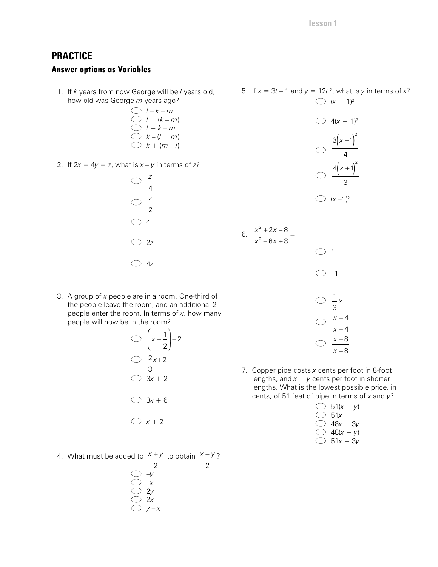# **PRACTICE**

## **Answer options as Variables**

1. If *k* years from now George will be *l* years old, how old was George *m* years ago?

$$
\bigcirc f - k - m
$$
  
\n
$$
\bigcirc f + (k - m)
$$
  
\n
$$
\bigcirc f + k - m
$$
  
\n
$$
\bigcirc k - (l + m)
$$
  
\n
$$
\bigcirc k + (m - l)
$$

2. If  $2x = 4y = z$ , what is  $x - y$  in terms of  $z$ ?

| $\bigcirc$    | $\frac{z}{z}$<br>4 |
|---------------|--------------------|
| $\bigcirc$    | $rac{z}{2}$        |
| $\bigcirc$    | Z                  |
| $\bigcirc$ 2z |                    |
| $\bigcirc$ 4z |                    |

5. If  $x = 3t - 1$  and  $y = 12t^2$ , what is y in terms of x?  $(x + 1)^2$  $\bigcirc$  4(x + 1)<sup>2</sup>  $3(x+1)^2$ 

$$
\frac{4(x+1)^2}{3}
$$

$$
\bigcirc (x-1)^2
$$

6.  $x^2 - 6x$ 2  $6x + 8$  $\frac{+2x-8}{-6x+8}$  =

2

 $x^2 + 2x$ 

 $2x - 8$ 

3. A group of *x* people are in a room. One-third of the people leave the room, and an additional 2 people enter the room. In terms of *x*, how many people will now be in the room?

$$
\bigcirc \left(x - \frac{1}{2}\right) + 2
$$
  

$$
\bigcirc \frac{2x + 2}{3}
$$
  

$$
\bigcirc 3x + 2
$$
  

$$
\bigcirc 3x + 6
$$

- $\bigcirc$   $x + 2$
- 4. What must be added to  $x + y$  to obtain  $x - y$ ?

$$
\bigcirc \frac{2}{\sqrt{}}\n\n\bigcirc \frac{2}{2y}\n\n\bigcirc \frac{2}{y-x}
$$

2

 $\bigcirc$  1  $\bigcirc$  -1 i, 1 3 *x x x* + − 4 4 *x x* + − 8 8

7. Copper pipe costs *x* cents per foot in 8-foot lengths, and  $x + y$  cents per foot in shorter lengths. What is the lowest possible price, in cents, of 51 feet of pipe in terms of *x* and *y*?

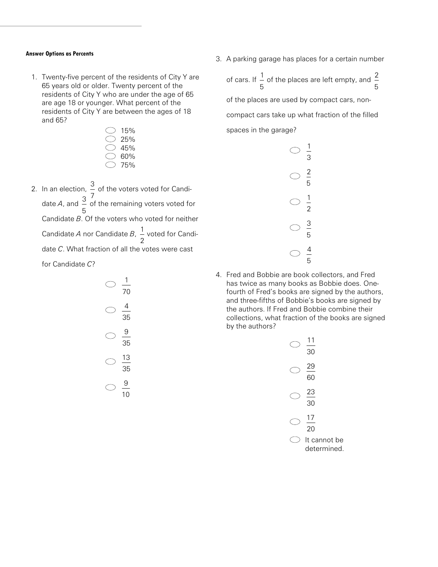#### **Answer Options as Percents**

1. Twenty-five percent of the residents of City Y are 65 years old or older. Twenty percent of the residents of City Y who are under the age of 65 are age 18 or younger. What percent of the residents of City Y are between the ages of 18 and 65?

| 15% |
|-----|
| 25% |
| 45% |
| 60% |
| 75% |

2. In an election, 3 7 of the voters voted for Candidate *A*, and 3 5 of the remaining voters voted for Candidate *B*. Of the voters who voted for neither Candidate *A* nor Candidate *B*, 1 2 voted for Candidate *C*. What fraction of all the votes were cast for Candidate *C*?

$$
\frac{1}{70}
$$
\n
$$
\frac{4}{35}
$$
\n
$$
\frac{9}{35}
$$
\n
$$
\frac{13}{35}
$$
\n
$$
\frac{9}{10}
$$

3. A parking garage has places for a certain number

of cars. If 1 5 of the places are left empty, and 2 5 of the places are used by compact cars, noncompact cars take up what fraction of the filled spaces in the garage?



4. Fred and Bobbie are book collectors, and Fred has twice as many books as Bobbie does. Onefourth of Fred's books are signed by the authors, and three-fifths of Bobbie's books are signed by the authors. If Fred and Bobbie combine their collections, what fraction of the books are signed by the authors?

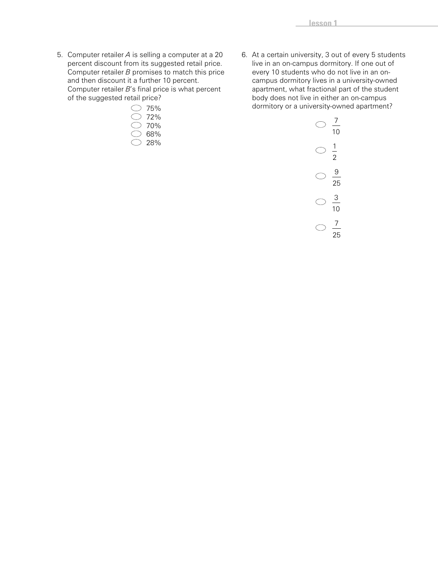5. Computer retailer *A* is selling a computer at a 20 percent discount from its suggested retail price. Computer retailer *B* promises to match this price and then discount it a further 10 percent. Computer retailer *B*'s final price is what percent of the suggested retail price?



6. At a certain university, 3 out of every 5 students live in an on-campus dormitory. If one out of every 10 students who do not live in an oncampus dormitory lives in a university-owned apartment, what fractional part of the student body does not live in either an on-campus dormitory or a university-owned apartment?

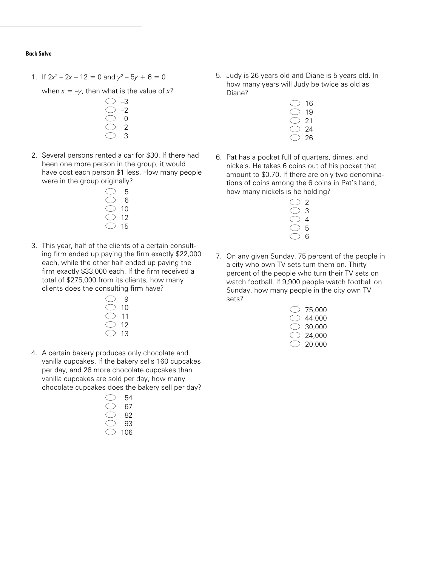#### **Back Solve**

1. If  $2x^2 - 2x - 12 = 0$  and  $y^2 - 5y + 6 = 0$ 

```
when x = -y, then what is the value of x?
```
- –3 –2 0 2 3
- 2. Several persons rented a car for \$30. If there had been one more person in the group, it would have cost each person \$1 less. How many people were in the group originally?
	- 5 6 10 12 15
- 3. This year, half of the clients of a certain consulting firm ended up paying the firm exactly \$22,000 each, while the other half ended up paying the firm exactly \$33,000 each. If the firm received a total of \$275,000 from its clients, how many clients does the consulting firm have?
	- $\bigcirc$  9 10 11 12 13
- 4. A certain bakery produces only chocolate and vanilla cupcakes. If the bakery sells 160 cupcakes per day, and 26 more chocolate cupcakes than vanilla cupcakes are sold per day, how many chocolate cupcakes does the bakery sell per day?

| 54      |
|---------|
| 67      |
| 82      |
| 93      |
| 06<br>1 |

5. Judy is 26 years old and Diane is 5 years old. In how many years will Judy be twice as old as Diane?

| 16 |
|----|
| 19 |
| ン1 |
| 24 |
| 26 |

6. Pat has a pocket full of quarters, dimes, and nickels. He takes 6 coins out of his pocket that amount to \$0.70. If there are only two denominations of coins among the 6 coins in Pat's hand, how many nickels is he holding?

| ク |
|---|
| Ö |
| 4 |
| 5 |
| h |

7. On any given Sunday, 75 percent of the people in a city who own TV sets turn them on. Thirty percent of the people who turn their TV sets on watch football. If 9,900 people watch football on Sunday, how many people in the city own TV sets?

| 75.000 |
|--------|
| 44.000 |
| 30.000 |
| 24.000 |
| 20.000 |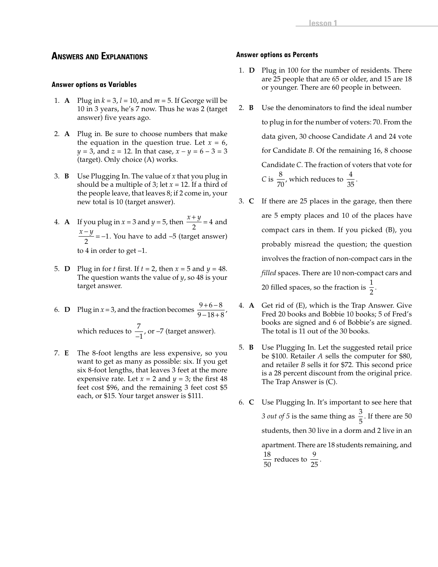### **ANSWERS AND EXPLANATIONS**

### **Answer options as Variables**

- 1. **A** Plug in  $k = 3$ ,  $l = 10$ , and  $m = 5$ . If George will be 10 in 3 years, he's 7 now. Thus he was 2 (target answer) five years ago.
- 2. **A** Plug in. Be sure to choose numbers that make the equation in the question true. Let  $x = 6$ , *y* = 3, and *z* = 12. In that case, *x – y* = 6 – 3 = 3 (target). Only choice (A) works.
- 3. **B** Use Plugging In. The value of *x* that you plug in should be a multiple of 3; let  $x = 12$ . If a third of the people leave, that leaves 8; if 2 come in, your new total is 10 (target answer).
- 4. **A** If you plug in  $x = 3$  and  $y = 5$ , then  $\frac{x+y}{2} = 4$  and  $\frac{x-y}{2}$  = −1. You have to add −5 (target answer) to 4 in order to get –1.
- 5. **D** Plug in for *t* first. If  $t = 2$ , then  $x = 5$  and  $y = 48$ . The question wants the value of *y*, so 48 is your target answer.
- 6. **D** Plug in  $x = 3$ , and the fraction becomes  $\frac{9+6-8}{2}$  $9 - 18 + 8$  $\frac{+6-8}{-18+8}$ which reduces to  $\frac{7}{7}$  $\frac{1}{-1}$ , or  $-7$  (target answer).
- 7. **E** The 8-foot lengths are less expensive, so you want to get as many as possible: six. If you get six 8-foot lengths, that leaves 3 feet at the more expensive rate. Let  $x = 2$  and  $y = 3$ ; the first 48 feet cost \$96, and the remaining 3 feet cost \$5 each, or \$15. Your target answer is \$111.

### **Answer options as Percents**

- 1. **D** Plug in 100 for the number of residents. There are 25 people that are 65 or older, and 15 are 18 or younger. There are 60 people in between.
- 2. **B** Use the denominators to find the ideal number to plug in for the number of voters: 70. From the data given, 30 choose Candidate *A* and 24 vote for Candidate *B*. Of the remaining 16, 8 choose Candidate *C*. The fraction of voters that vote for *C* is  $\frac{8}{70}$ , which reduces to  $\frac{4}{35}$ .
- 3. **C** If there are 25 places in the garage, then there are 5 empty places and 10 of the places have compact cars in them. If you picked (B), you probably misread the question; the question involves the fraction of non-compact cars in the *filled* spaces. There are 10 non-compact cars and 20 filled spaces, so the fraction is  $\frac{1}{2}$ .
- 4. **A** Get rid of (E), which is the Trap Answer. Give Fred 20 books and Bobbie 10 books; 5 of Fred's books are signed and 6 of Bobbie's are signed. The total is 11 out of the 30 books.
- 5. **B** Use Plugging In. Let the suggested retail price be \$100. Retailer *A* sells the computer for \$80, and retailer *B* sells it for \$72. This second price is a 28 percent discount from the original price. The Trap Answer is (C).
- 6. **C** Use Plugging In. It's important to see here that *3 out of 5* is the same thing as  $\frac{3}{5}$  $\frac{6}{5}$ . If there are 50 students, then 30 live in a dorm and 2 live in an apartment. There are 18 students remaining, and 18  $\frac{18}{50}$  reduces to  $\frac{9}{25}$ .